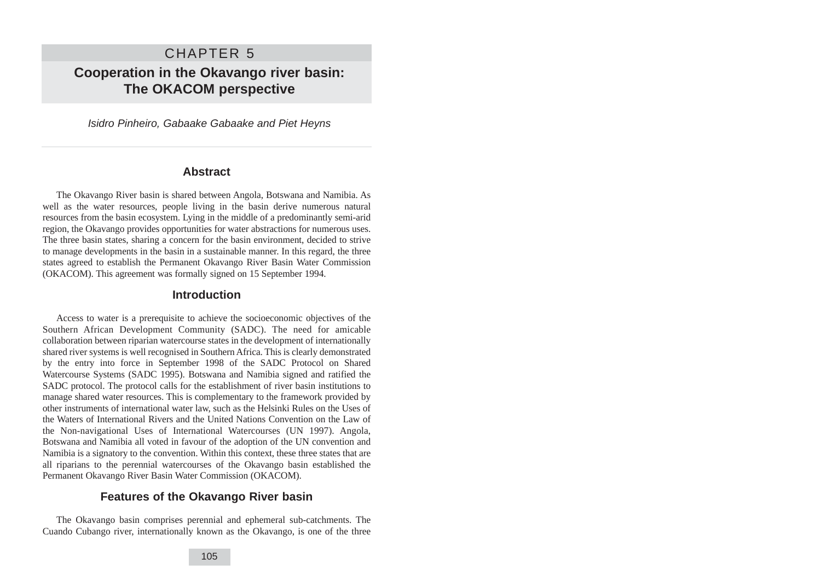# CHAPTER 5 **Cooperation in the Okavango river basin: The OKACOM perspective**

Isidro Pinheiro, Gabaake Gabaake and Piet Heyns

## **Abstract**

The Okavango River basin is shared between Angola, Botswana and Namibia. As well as the water resources, people living in the basin derive numerous natural resources from the basin ecosystem. Lying in the middle of a predominantly semi-arid region, the Okavango provides opportunities for water abstractions for numerous uses. The three basin states, sharing a concern for the basin environment, decided to strive to manage developments in the basin in a sustainable manner. In this regard, the three states agreed to establish the Permanent Okavango River Basin Water Commission (OKACOM). This agreement was formally signed on 15 September 1994.

# **Introduction**

Access to water is a prerequisite to achieve the socioeconomic objectives of the Southern African Development Community (SADC). The need for amicable collaboration between riparian watercourse states in the development of internationally shared river systems is well recognised in Southern Africa. This is clearly demonstrated by the entry into force in September 1998 of the SADC Protocol on Shared Watercourse Systems (SADC 1995). Botswana and Namibia signed and ratified the SADC protocol. The protocol calls for the establishment of river basin institutions to manage shared water resources. This is complementary to the framework provided by other instruments of international water law, such as the Helsinki Rules on the Uses of the Waters of International Rivers and the United Nations Convention on the Law of the Non-navigational Uses of International Watercourses (UN 1997). Angola, Botswana and Namibia all voted in favour of the adoption of the UN convention and Namibia is a signatory to the convention. Within this context, these three states that are all riparians to the perennial watercourses of the Okavango basin established the Permanent Okavango River Basin Water Commission (OKACOM).

# **Features of the Okavango River basin**

The Okavango basin comprises perennial and ephemeral sub-catchments. The Cuando Cubango river, internationally known as the Okavango, is one of the three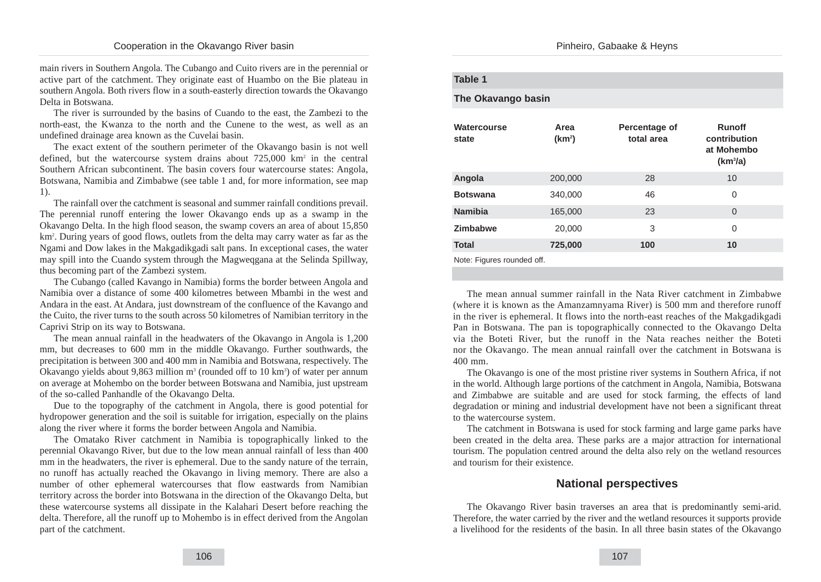main rivers in Southern Angola. The Cubango and Cuito rivers are in the perennial or active part of the catchment. They originate east of Huambo on the Bie plateau in southern Angola. Both rivers flow in a south-easterly direction towards the Okavango Delta in Botswana.

The river is surrounded by the basins of Cuando to the east, the Zambezi to the north-east, the Kwanza to the north and the Cunene to the west, as well as an undefined drainage area known as the Cuvelai basin.

The exact extent of the southern perimeter of the Okavango basin is not well defined, but the watercourse system drains about  $725,000 \text{ km}^2$  in the central Southern African subcontinent. The basin covers four watercourse states: Angola, Botswana, Namibia and Zimbabwe (see table 1 and, for more information, see map 1).

The rainfall over the catchment is seasonal and summer rainfall conditions prevail. The perennial runoff entering the lower Okavango ends up as a swamp in the Okavango Delta. In the high flood season, the swamp covers an area of about 15,850 km<sup>2</sup>. During years of good flows, outlets from the delta may carry water as far as the Ngami and Dow lakes in the Makgadikgadi salt pans. In exceptional cases, the water may spill into the Cuando system through the Magweqgana at the Selinda Spillway, thus becoming part of the Zambezi system.

The Cubango (called Kavango in Namibia) forms the border between Angola and Namibia over a distance of some 400 kilometres between Mbambi in the west and Andara in the east. At Andara, just downstream of the confluence of the Kavango and the Cuito, the river turns to the south across 50 kilometres of Namibian territory in the Caprivi Strip on its way to Botswana.

The mean annual rainfall in the headwaters of the Okavango in Angola is 1,200 mm, but decreases to 600 mm in the middle Okavango. Further southwards, the precipitation is between 300 and 400 mm in Namibia and Botswana, respectively. The Okavango yields about 9,863 million  $m<sup>3</sup>$  (rounded off to 10 km<sup>3</sup>) of water per annum on average at Mohembo on the border between Botswana and Namibia, just upstream of the so-called Panhandle of the Okavango Delta.

Due to the topography of the catchment in Angola, there is good potential for hydropower generation and the soil is suitable for irrigation, especially on the plains along the river where it forms the border between Angola and Namibia.

The Omatako River catchment in Namibia is topographically linked to the perennial Okavango River, but due to the low mean annual rainfall of less than 400 mm in the headwaters, the river is ephemeral. Due to the sandy nature of the terrain, no runoff has actually reached the Okavango in living memory. There are also a number of other ephemeral watercourses that flow eastwards from Namibian territory across the border into Botswana in the direction of the Okavango Delta, but these watercourse systems all dissipate in the Kalahari Desert before reaching the delta. Therefore, all the runoff up to Mohembo is in effect derived from the Angolan part of the catchment.

## **Table 1**

#### **The Okavango basin**

| Watercourse<br>state | Area<br>(km <sup>2</sup> ) | Percentage of<br>total area | <b>Runoff</b><br>contribution<br>at Mohembo<br>$(km^3/a)$ |
|----------------------|----------------------------|-----------------------------|-----------------------------------------------------------|
| Angola               | 200,000                    | 28                          | 10                                                        |
| <b>Botswana</b>      | 340,000                    | 46                          | $\Omega$                                                  |
| <b>Namibia</b>       | 165,000                    | 23                          | $\Omega$                                                  |
| <b>Zimbabwe</b>      | 20,000                     | 3                           | 0                                                         |
| <b>Total</b>         | 725,000                    | 100                         | 10                                                        |

Note: Figures rounded off.

The mean annual summer rainfall in the Nata River catchment in Zimbabwe (where it is known as the Amanzamnyama River) is 500 mm and therefore runoff in the river is ephemeral. It flows into the north-east reaches of the Makgadikgadi Pan in Botswana. The pan is topographically connected to the Okavango Delta via the Boteti River, but the runoff in the Nata reaches neither the Boteti nor the Okavango. The mean annual rainfall over the catchment in Botswana is 400 mm.

The Okavango is one of the most pristine river systems in Southern Africa, if not in the world. Although large portions of the catchment in Angola, Namibia, Botswana and Zimbabwe are suitable and are used for stock farming, the effects of land degradation or mining and industrial development have not been a significant threat to the watercourse system.

The catchment in Botswana is used for stock farming and large game parks have been created in the delta area. These parks are a major attraction for international tourism. The population centred around the delta also rely on the wetland resources and tourism for their existence.

## **National perspectives**

The Okavango River basin traverses an area that is predominantly semi-arid. Therefore, the water carried by the river and the wetland resources it supports provide a livelihood for the residents of the basin. In all three basin states of the Okavango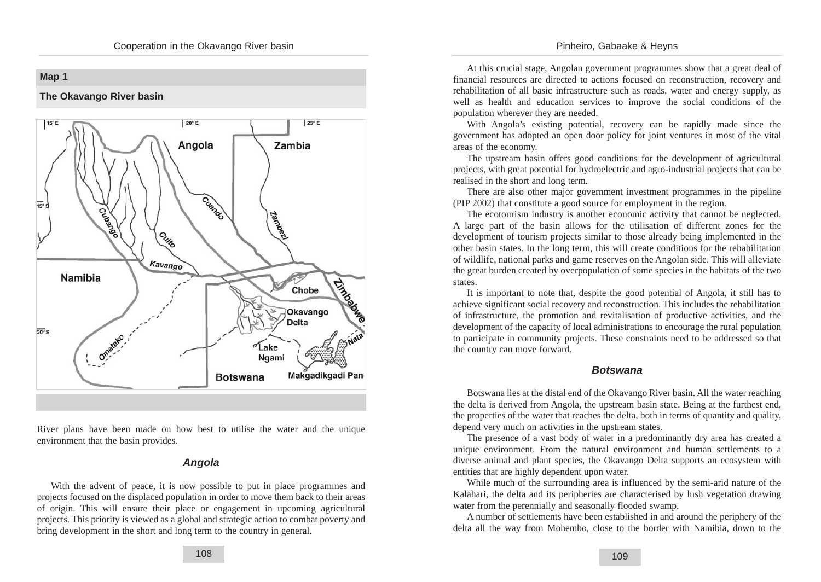# **Map 1**

**The Okavango River basin** 



River plans have been made on how best to utilise the water and the unique environment that the basin provides.

# **Angola**

With the advent of peace, it is now possible to put in place programmes and projects focused on the displaced population in order to move them back to their areas of origin. This will ensure their place or engagement in upcoming agricultural projects. This priority is viewed as a global and strategic action to combat poverty and bring development in the short and long term to the country in general.

At this crucial stage, Angolan government programmes show that a great deal of financial resources are directed to actions focused on reconstruction, recovery and rehabilitation of all basic infrastructure such as roads, water and energy supply, as well as health and education services to improve the social conditions of the population wherever they are needed.

With Angola's existing potential, recovery can be rapidly made since the government has adopted an open door policy for joint ventures in most of the vital areas of the economy.

The upstream basin offers good conditions for the development of agricultural projects, with great potential for hydroelectric and agro-industrial projects that can be realised in the short and long term.

There are also other major government investment programmes in the pipeline (PIP 2002) that constitute a good source for employment in the region.

The ecotourism industry is another economic activity that cannot be neglected. A large part of the basin allows for the utilisation of different zones for the development of tourism projects similar to those already being implemented in the other basin states. In the long term, this will create conditions for the rehabilitation of wildlife, national parks and game reserves on the Angolan side. This will alleviate the great burden created by overpopulation of some species in the habitats of the two states.

It is important to note that, despite the good potential of Angola, it still has to achieve significant social recovery and reconstruction. This includes the rehabilitation of infrastructure, the promotion and revitalisation of productive activities, and the development of the capacity of local administrations to encourage the rural population to participate in community projects. These constraints need to be addressed so that the country can move forward.

## **Botswana**

Botswana lies at the distal end of the Okavango River basin. All the water reaching the delta is derived from Angola, the upstream basin state. Being at the furthest end, the properties of the water that reaches the delta, both in terms of quantity and quality, depend very much on activities in the upstream states.

The presence of a vast body of water in a predominantly dry area has created a unique environment. From the natural environment and human settlements to a diverse animal and plant species, the Okavango Delta supports an ecosystem with entities that are highly dependent upon water.

While much of the surrounding area is influenced by the semi-arid nature of the Kalahari, the delta and its peripheries are characterised by lush vegetation drawing water from the perennially and seasonally flooded swamp.

A number of settlements have been established in and around the periphery of the delta all the way from Mohembo, close to the border with Namibia, down to the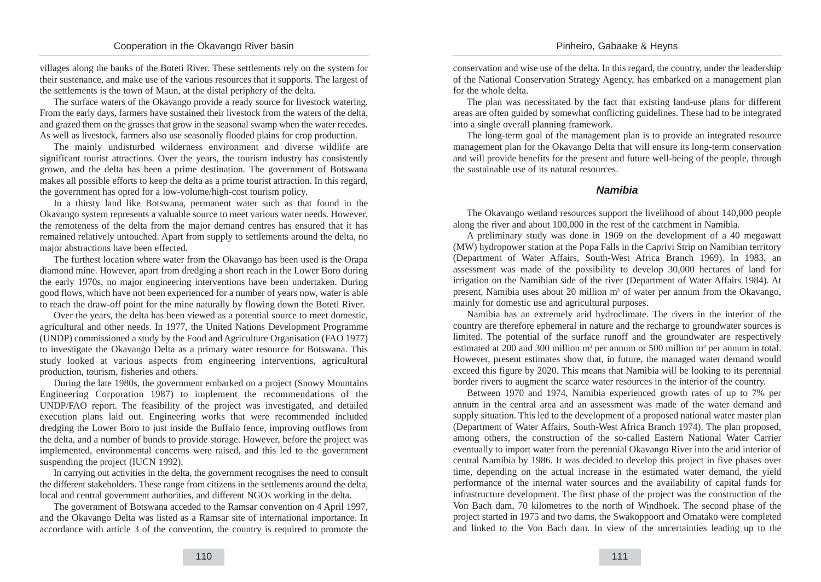villages along the banks of the Boteti River. These settlements rely on the system for their sustenance, and make use of the various resources that it supports. The largest of the settlements is the town of Maun, at the distal periphery of the delta.

The surface waters of the Okavango provide a ready source for livestock watering. From the early days, farmers have sustained their livestock from the waters of the delta, and grazed them on the grasses that grow in the seasonal swamp when the water recedes. As well as livestock, farmers also use seasonally flooded plains for crop production.

The mainly undisturbed wilderness environment and diverse wildlife are significant tourist attractions. Over the years, the tourism industry has consistently grown, and the delta has been a prime destination. The government of Botswana makes all possible efforts to keep the delta as a prime tourist attraction. In this regard, the government has opted for a low-volume/high-cost tourism policy.

In a thirsty land like Botswana, permanent water such as that found in the Okavango system represents a valuable source to meet various water needs. However, the remoteness of the delta from the major demand centres has ensured that it has remained relatively untouched. Apart from supply to settlements around the delta, no major abstractions have been effected.

The furthest location where water from the Okavango has been used is the Orapa diamond mine. However, apart from dredging a short reach in the Lower Boro during the early 1970s, no major engineering interventions have been undertaken. During good flows, which have not been experienced for a number of years now, water is able to reach the draw-off point for the mine naturally by flowing down the Boteti River.

Over the years, the delta has been viewed as a potential source to meet domestic, agricultural and other needs. In 1977, the United Nations Development Programme (UNDP) commissioned a study by the Food and Agriculture Organisation (FAO 1977) to investigate the Okavango Delta as a primary water resource for Botswana. This study looked at various aspects from engineering interventions, agricultural production, tourism, fisheries and others.

During the late 1980s, the government embarked on a project (Snowy Mountains Engineering Corporation 1987) to implement the recommendations of the UNDP/FAO report. The feasibility of the project was investigated, and detailed execution plans laid out. Engineering works that were recommended included dredging the Lower Boro to just inside the Buffalo fence, improving outflows from the delta, and a number of bunds to provide storage. However, before the project was implemented, environmental concerns were raised, and this led to the government suspending the project (IUCN 1992).

In carrying out activities in the delta, the government recognises the need to consult the different stakeholders. These range from citizens in the settlements around the delta, local and central government authorities, and different NGOs working in the delta.

The government of Botswana acceded to the Ramsar convention on 4 April 1997, and the Okavango Delta was listed as a Ramsar site of international importance. In accordance with article 3 of the convention, the country is required to promote the conservation and wise use of the delta. In this regard, the country, under the leadership of the National Conservation Strategy Agency, has embarked on a management plan for the whole delta.

The plan was necessitated by the fact that existing land-use plans for different areas are often guided by somewhat conflicting guidelines. These had to be integrated into a single overall planning framework.

The long-term goal of the management plan is to provide an integrated resource management plan for the Okavango Delta that will ensure its long-term conservation and will provide benefits for the present and future well-being of the people, through the sustainable use of its natural resources.

# **Namibia**

The Okavango wetland resources support the livelihood of about 140,000 people along the river and about 100,000 in the rest of the catchment in Namibia.

A preliminary study was done in 1969 on the development of a 40 megawatt (MW) hydropower station at the Popa Falls in the Caprivi Strip on Namibian territory (Department of Water Affairs, South-West Africa Branch 1969). In 1983, an assessment was made of the possibility to develop 30,000 hectares of land for irrigation on the Namibian side of the river (Department of Water Affairs 1984). At present, Namibia uses about 20 million  $m<sup>3</sup>$  of water per annum from the Okavango, mainly for domestic use and agricultural purposes.

Namibia has an extremely arid hydroclimate. The rivers in the interior of the country are therefore ephemeral in nature and the recharge to groundwater sources is limited. The potential of the surface runoff and the groundwater are respectively estimated at 200 and 300 million m<sup>3</sup> per annum or 500 million m<sup>3</sup> per annum in total. However, present estimates show that, in future, the managed water demand would exceed this figure by 2020. This means that Namibia will be looking to its perennial border rivers to augment the scarce water resources in the interior of the country.

Between 1970 and 1974, Namibia experienced growth rates of up to 7% per annum in the central area and an assessment was made of the water demand and supply situation. This led to the development of a proposed national water master plan (Department of Water Affairs, South-West Africa Branch 1974). The plan proposed, among others, the construction of the so-called Eastern National Water Carrier eventually to import water from the perennial Okavango River into the arid interior of central Namibia by 1986. It was decided to develop this project in five phases over time, depending on the actual increase in the estimated water demand, the yield performance of the internal water sources and the availability of capital funds for infrastructure development. The first phase of the project was the construction of the Von Bach dam, 70 kilometres to the north of Windhoek. The second phase of the project started in 1975 and two dams, the Swakoppoort and Omatako were completed and linked to the Von Bach dam. In view of the uncertainties leading up to the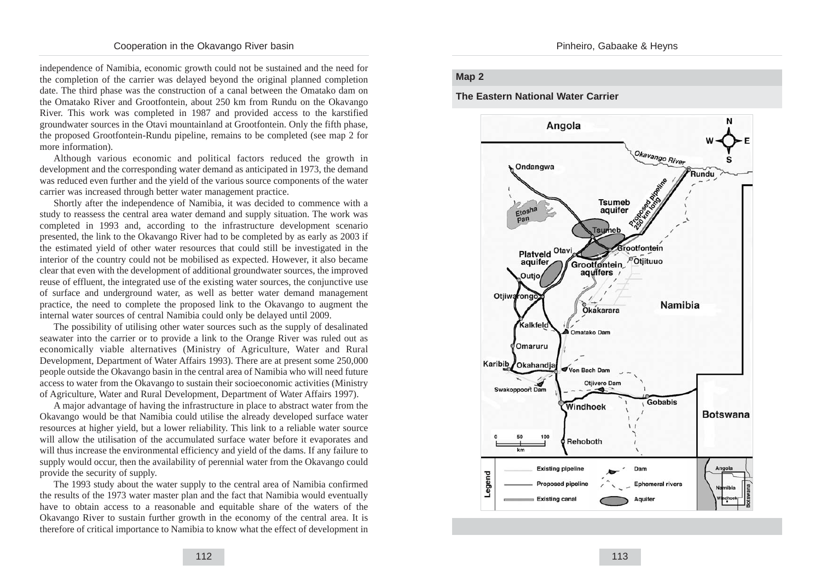independence of Namibia, economic growth could not be sustained and the need for the completion of the carrier was delayed beyond the original planned completion date. The third phase was the construction of a canal between the Omatako dam on the Omatako River and Grootfontein, about 250 km from Rundu on the Okavango River. This work was completed in 1987 and provided access to the karstified groundwater sources in the Otavi mountainland at Grootfontein. Only the fifth phase, the proposed Grootfontein-Rundu pipeline, remains to be completed (see map 2 for more information).

Although various economic and political factors reduced the growth in development and the corresponding water demand as anticipated in 1973, the demand was reduced even further and the yield of the various source components of the water carrier was increased through better water management practice.

Shortly after the independence of Namibia, it was decided to commence with a study to reassess the central area water demand and supply situation. The work was completed in 1993 and, according to the infrastructure development scenario presented, the link to the Okavango River had to be completed by as early as 2003 if the estimated yield of other water resources that could still be investigated in the interior of the country could not be mobilised as expected. However, it also became clear that even with the development of additional groundwater sources, the improved reuse of effluent, the integrated use of the existing water sources, the conjunctive use of surface and underground water, as well as better water demand management practice, the need to complete the proposed link to the Okavango to augment the internal water sources of central Namibia could only be delayed until 2009.

The possibility of utilising other water sources such as the supply of desalinated seawater into the carrier or to provide a link to the Orange River was ruled out as economically viable alternatives (Ministry of Agriculture, Water and Rural Development, Department of Water Affairs 1993). There are at present some 250,000 people outside the Okavango basin in the central area of Namibia who will need future access to water from the Okavango to sustain their socioeconomic activities (Ministry of Agriculture, Water and Rural Development, Department of Water Affairs 1997).

A major advantage of having the infrastructure in place to abstract water from the Okavango would be that Namibia could utilise the already developed surface water resources at higher yield, but a lower reliability. This link to a reliable water source will allow the utilisation of the accumulated surface water before it evaporates and will thus increase the environmental efficiency and yield of the dams. If any failure to supply would occur, then the availability of perennial water from the Okavango could provide the security of supply.

The 1993 study about the water supply to the central area of Namibia confirmed the results of the 1973 water master plan and the fact that Namibia would eventually have to obtain access to a reasonable and equitable share of the waters of the Okavango River to sustain further growth in the economy of the central area. It is therefore of critical importance to Namibia to know what the effect of development in

## **Map 2**

**The Eastern National Water Carrier** 

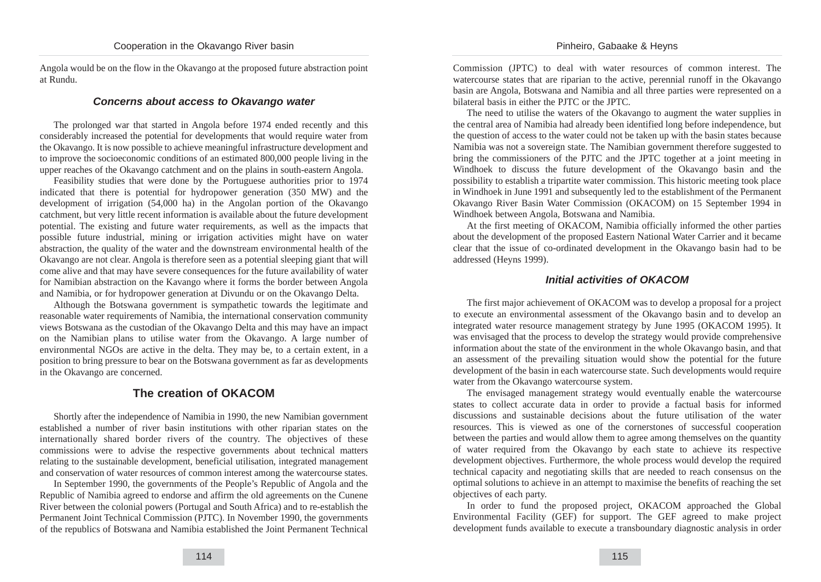Angola would be on the flow in the Okavango at the proposed future abstraction point at Rundu.

# **Concerns about access to Okavango water**

The prolonged war that started in Angola before 1974 ended recently and this considerably increased the potential for developments that would require water from the Okavango. It is now possible to achieve meaningful infrastructure development and to improve the socioeconomic conditions of an estimated 800,000 people living in the upper reaches of the Okavango catchment and on the plains in south-eastern Angola.

Feasibility studies that were done by the Portuguese authorities prior to 1974 indicated that there is potential for hydropower generation (350 MW) and the development of irrigation (54,000 ha) in the Angolan portion of the Okavango catchment, but very little recent information is available about the future development potential. The existing and future water requirements, as well as the impacts that possible future industrial, mining or irrigation activities might have on water abstraction, the quality of the water and the downstream environmental health of the Okavango are not clear. Angola is therefore seen as a potential sleeping giant that will come alive and that may have severe consequences for the future availability of water for Namibian abstraction on the Kavango where it forms the border between Angola and Namibia, or for hydropower generation at Divundu or on the Okavango Delta.

Although the Botswana government is sympathetic towards the legitimate and reasonable water requirements of Namibia, the international conservation community views Botswana as the custodian of the Okavango Delta and this may have an impact on the Namibian plans to utilise water from the Okavango. A large number of environmental NGOs are active in the delta. They may be, to a certain extent, in a position to bring pressure to bear on the Botswana government as far as developments in the Okavango are concerned.

# **The creation of OKACOM**

Shortly after the independence of Namibia in 1990, the new Namibian government established a number of river basin institutions with other riparian states on the internationally shared border rivers of the country. The objectives of these commissions were to advise the respective governments about technical matters relating to the sustainable development, beneficial utilisation, integrated management and conservation of water resources of common interest among the watercourse states.

In September 1990, the governments of the People's Republic of Angola and the Republic of Namibia agreed to endorse and affirm the old agreements on the Cunene River between the colonial powers (Portugal and South Africa) and to re-establish the Permanent Joint Technical Commission (PJTC). In November 1990, the governments of the republics of Botswana and Namibia established the Joint Permanent Technical

Commission (JPTC) to deal with water resources of common interest. The watercourse states that are riparian to the active, perennial runoff in the Okavango basin are Angola, Botswana and Namibia and all three parties were represented on a bilateral basis in either the PJTC or the JPTC.

The need to utilise the waters of the Okavango to augment the water supplies in the central area of Namibia had already been identified long before independence, but the question of access to the water could not be taken up with the basin states because Namibia was not a sovereign state. The Namibian government therefore suggested to bring the commissioners of the PJTC and the JPTC together at a joint meeting in Windhoek to discuss the future development of the Okavango basin and the possibility to establish a tripartite water commission. This historic meeting took place in Windhoek in June 1991 and subsequently led to the establishment of the Permanent Okavango River Basin Water Commission (OKACOM) on 15 September 1994 in Windhoek between Angola, Botswana and Namibia.

At the first meeting of OKACOM, Namibia officially informed the other parties about the development of the proposed Eastern National Water Carrier and it became clear that the issue of co-ordinated development in the Okavango basin had to be addressed (Heyns 1999).

#### **Initial activities of OKACOM**

The first major achievement of OKACOM was to develop a proposal for a project to execute an environmental assessment of the Okavango basin and to develop an integrated water resource management strategy by June 1995 (OKACOM 1995). It was envisaged that the process to develop the strategy would provide comprehensive information about the state of the environment in the whole Okavango basin, and that an assessment of the prevailing situation would show the potential for the future development of the basin in each watercourse state. Such developments would require water from the Okavango watercourse system.

The envisaged management strategy would eventually enable the watercourse states to collect accurate data in order to provide a factual basis for informed discussions and sustainable decisions about the future utilisation of the water resources. This is viewed as one of the cornerstones of successful cooperation between the parties and would allow them to agree among themselves on the quantity of water required from the Okavango by each state to achieve its respective development objectives. Furthermore, the whole process would develop the required technical capacity and negotiating skills that are needed to reach consensus on the optimal solutions to achieve in an attempt to maximise the benefits of reaching the set objectives of each party.

In order to fund the proposed project, OKACOM approached the Global Environmental Facility (GEF) for support. The GEF agreed to make project development funds available to execute a transboundary diagnostic analysis in order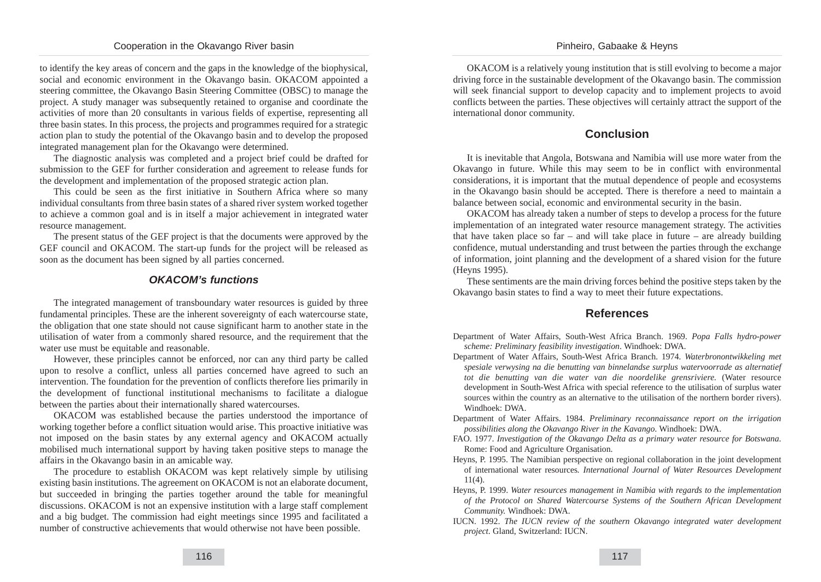to identify the key areas of concern and the gaps in the knowledge of the biophysical, social and economic environment in the Okavango basin. OKACOM appointed a steering committee, the Okavango Basin Steering Committee (OBSC) to manage the project. A study manager was subsequently retained to organise and coordinate the activities of more than 20 consultants in various fields of expertise, representing all three basin states. In this process, the projects and programmes required for a strategic action plan to study the potential of the Okavango basin and to develop the proposed integrated management plan for the Okavango were determined.

The diagnostic analysis was completed and a project brief could be drafted for submission to the GEF for further consideration and agreement to release funds for the development and implementation of the proposed strategic action plan.

This could be seen as the first initiative in Southern Africa where so many individual consultants from three basin states of a shared river system worked together to achieve a common goal and is in itself a major achievement in integrated water resource management.

The present status of the GEF project is that the documents were approved by the GEF council and OKACOM. The start-up funds for the project will be released as soon as the document has been signed by all parties concerned.

## **OKACOM's functions**

The integrated management of transboundary water resources is guided by three fundamental principles. These are the inherent sovereignty of each watercourse state, the obligation that one state should not cause significant harm to another state in the utilisation of water from a commonly shared resource, and the requirement that the water use must be equitable and reasonable.

However, these principles cannot be enforced, nor can any third party be called upon to resolve a conflict, unless all parties concerned have agreed to such an intervention. The foundation for the prevention of conflicts therefore lies primarily in the development of functional institutional mechanisms to facilitate a dialogue between the parties about their internationally shared watercourses.

OKACOM was established because the parties understood the importance of working together before a conflict situation would arise. This proactive initiative was not imposed on the basin states by any external agency and OKACOM actually mobilised much international support by having taken positive steps to manage the affairs in the Okavango basin in an amicable way.

The procedure to establish OKACOM was kept relatively simple by utilising existing basin institutions. The agreement on OKACOM is not an elaborate document, but succeeded in bringing the parties together around the table for meaningful discussions. OKACOM is not an expensive institution with a large staff complement and a big budget. The commission had eight meetings since 1995 and facilitated a number of constructive achievements that would otherwise not have been possible.

OKACOM is a relatively young institution that is still evolving to become a major driving force in the sustainable development of the Okavango basin. The commission will seek financial support to develop capacity and to implement projects to avoid conflicts between the parties. These objectives will certainly attract the support of the international donor community.

# **Conclusion**

It is inevitable that Angola, Botswana and Namibia will use more water from the Okavango in future. While this may seem to be in conflict with environmental considerations, it is important that the mutual dependence of people and ecosystems in the Okavango basin should be accepted. There is therefore a need to maintain a balance between social, economic and environmental security in the basin.

OKACOM has already taken a number of steps to develop a process for the future implementation of an integrated water resource management strategy. The activities that have taken place so far – and will take place in future – are already building confidence, mutual understanding and trust between the parties through the exchange of information, joint planning and the development of a shared vision for the future (Heyns 1995).

These sentiments are the main driving forces behind the positive steps taken by the Okavango basin states to find a way to meet their future expectations.

# **References**

- Department of Water Affairs, South-West Africa Branch. 1969. *Popa Falls hydro-power scheme: Preliminary feasibility investigation*. Windhoek: DWA.
- Department of Water Affairs, South-West Africa Branch. 1974. *Waterbronontwikkeling met spesiale verwysing na die benutting van binnelandse surplus watervoorrade as alternatief tot die benutting van die water van die noordelike grensriviere.* (Water resource development in South-West Africa with special reference to the utilisation of surplus water sources within the country as an alternative to the utilisation of the northern border rivers). Windhoek: DWA.
- Department of Water Affairs. 1984. *Preliminary reconnaissance report on the irrigation possibilities along the Okavango River in the Kavango*. Windhoek: DWA.
- FAO. 1977. *Investigation of the Okavango Delta as a primary water resource for Botswana*. Rome: Food and Agriculture Organisation.
- Heyns, P. 1995. The Namibian perspective on regional collaboration in the joint development of international water resources*. International Journal of Water Resources Development* 11(4).
- Heyns, P. 1999. *Water resources management in Namibia with regards to the implementation of the Protocol on Shared Watercourse Systems of the Southern African Development Community.* Windhoek: DWA.
- IUCN. 1992. *The IUCN review of the southern Okavango integrated water development project*. Gland, Switzerland: IUCN.